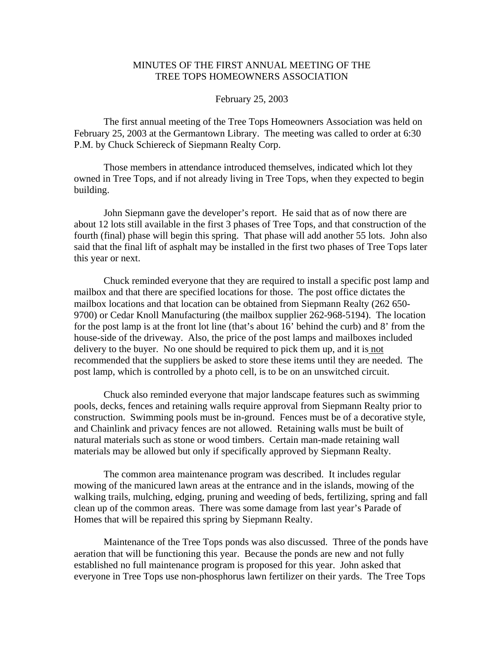## MINUTES OF THE FIRST ANNUAL MEETING OF THE TREE TOPS HOMEOWNERS ASSOCIATION

## February 25, 2003

 The first annual meeting of the Tree Tops Homeowners Association was held on February 25, 2003 at the Germantown Library. The meeting was called to order at 6:30 P.M. by Chuck Schiereck of Siepmann Realty Corp.

 Those members in attendance introduced themselves, indicated which lot they owned in Tree Tops, and if not already living in Tree Tops, when they expected to begin building.

 John Siepmann gave the developer's report. He said that as of now there are about 12 lots still available in the first 3 phases of Tree Tops, and that construction of the fourth (final) phase will begin this spring. That phase will add another 55 lots. John also said that the final lift of asphalt may be installed in the first two phases of Tree Tops later this year or next.

 Chuck reminded everyone that they are required to install a specific post lamp and mailbox and that there are specified locations for those. The post office dictates the mailbox locations and that location can be obtained from Siepmann Realty (262 650- 9700) or Cedar Knoll Manufacturing (the mailbox supplier 262-968-5194). The location for the post lamp is at the front lot line (that's about 16' behind the curb) and 8' from the house-side of the driveway. Also, the price of the post lamps and mailboxes included delivery to the buyer. No one should be required to pick them up, and it is not recommended that the suppliers be asked to store these items until they are needed. The post lamp, which is controlled by a photo cell, is to be on an unswitched circuit.

Chuck also reminded everyone that major landscape features such as swimming pools, decks, fences and retaining walls require approval from Siepmann Realty prior to construction. Swimming pools must be in-ground. Fences must be of a decorative style, and Chainlink and privacy fences are not allowed. Retaining walls must be built of natural materials such as stone or wood timbers. Certain man-made retaining wall materials may be allowed but only if specifically approved by Siepmann Realty.

The common area maintenance program was described. It includes regular mowing of the manicured lawn areas at the entrance and in the islands, mowing of the walking trails, mulching, edging, pruning and weeding of beds, fertilizing, spring and fall clean up of the common areas. There was some damage from last year's Parade of Homes that will be repaired this spring by Siepmann Realty.

 Maintenance of the Tree Tops ponds was also discussed. Three of the ponds have aeration that will be functioning this year. Because the ponds are new and not fully established no full maintenance program is proposed for this year. John asked that everyone in Tree Tops use non-phosphorus lawn fertilizer on their yards. The Tree Tops